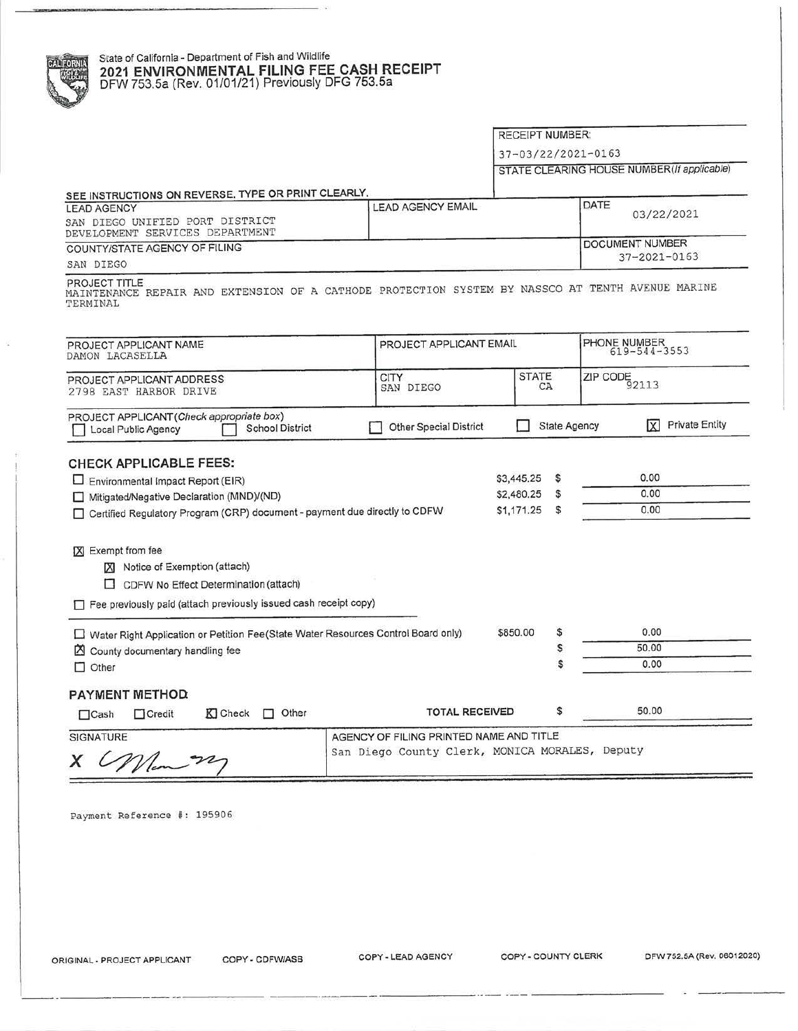## State of California - Department of Fish and Wildlife **2021 ENVIRONMENTAL FILING FEE CASH RECEIPT**  DFW 753.5a (Rev. 01/01/21) Previously DFG 753.5a

RECEIPT NUMBER:

37- 03/22/2021-0163

STATE CLEARING HOUSE NUMBER (If applicable)

| SEE INSTRUCTIONS ON REVERSE. TYPE OR PRINT CLEARLY.                                                                           |                                                |                         |                     |                                       |  |
|-------------------------------------------------------------------------------------------------------------------------------|------------------------------------------------|-------------------------|---------------------|---------------------------------------|--|
| <b>LEAD AGENCY</b>                                                                                                            | <b>LEAD AGENCY EMAIL</b>                       |                         | DATE                | 03/22/2021                            |  |
| SAN DIEGO UNIFIED PORT DISTRICT<br>DEVELOPMENT SERVICES DEPARTMENT                                                            |                                                |                         |                     |                                       |  |
| COUNTY/STATE AGENCY OF FILING                                                                                                 |                                                |                         |                     | <b>DOCUMENT NUMBER</b>                |  |
| SAN DIEGO                                                                                                                     |                                                |                         |                     | $37 - 2021 - 0163$                    |  |
| PROJECT TITLE<br>MAINTENANCE REPAIR AND EXTENSION OF A CATHODE PROTECTION SYSTEM BY NASSCO AT TENTH AVENUE MARINE<br>TERMINAL |                                                |                         |                     |                                       |  |
| PROJECT APPLICANT NAME<br>DAMON LACASELLA                                                                                     |                                                | PROJECT APPLICANT EMAIL |                     | PHONE NUMBER<br>$619 - 544 - 3553$    |  |
| PROJECT APPLICANT ADDRESS<br>2798 EAST HARBOR DRIVE                                                                           | <b>CITY</b><br>SAN DIEGO                       | <b>STATE</b><br>CA      |                     | $\overline{ZIP\:\text{CODE}}_{92113}$ |  |
| PROJECT APPLICANT (Check appropriate box)<br><b>School District</b><br>Local Public Agency                                    | Other Special District                         |                         | <b>State Agency</b> | <b>Private Entity</b><br>ΙxΙ          |  |
| <b>CHECK APPLICABLE FEES:</b>                                                                                                 |                                                |                         |                     |                                       |  |
|                                                                                                                               |                                                | \$3,445.25              | s                   | 0.00                                  |  |
| $\Box$ Environmental Impact Report (EIR)                                                                                      |                                                | \$2,480.25              | \$                  | 0.00                                  |  |
| Mitigated/Negative Declaration (MND)/(ND)<br>□ Certified Regulatory Program (CRP) document - payment due directly to CDFW     |                                                | \$1,171.25              | \$                  | 0.00                                  |  |
|                                                                                                                               |                                                |                         |                     |                                       |  |
|                                                                                                                               |                                                |                         |                     |                                       |  |
| [X] Exempt from fee                                                                                                           |                                                |                         |                     |                                       |  |
| <b>XI</b> Notice of Exemption (attach)                                                                                        |                                                |                         |                     |                                       |  |
| CDFW No Effect Determination (attach)                                                                                         |                                                |                         |                     |                                       |  |
| Fee previously paid (attach previously issued cash receipt copy)                                                              |                                                |                         |                     |                                       |  |
|                                                                                                                               |                                                | \$850.00                | \$                  | 0.00                                  |  |
| □ Water Right Application or Petition Fee(State Water Resources Control Board only)                                           |                                                |                         | S                   | 50.00                                 |  |
| County documentary handling fee<br>W                                                                                          |                                                |                         | Ŝ                   | 0.00                                  |  |
| Other<br>п                                                                                                                    |                                                |                         |                     |                                       |  |
| PAYMENT METHOD:                                                                                                               |                                                |                         |                     |                                       |  |
| $\Box$ Other<br>K Check<br>$\Box$ Credit<br>$\Box$ Cash                                                                       | <b>TOTAL RECEIVED</b>                          |                         | \$                  | 50.00                                 |  |
| <b>SIGNATURE</b>                                                                                                              | AGENCY OF FILING PRINTED NAME AND TITLE        |                         |                     |                                       |  |
|                                                                                                                               | San Diego County Clerk, MONICA MORALES, Deputy |                         |                     |                                       |  |
| x                                                                                                                             |                                                |                         |                     |                                       |  |

Payment Reference #: 195906

----------------·-------··- ·-- ---------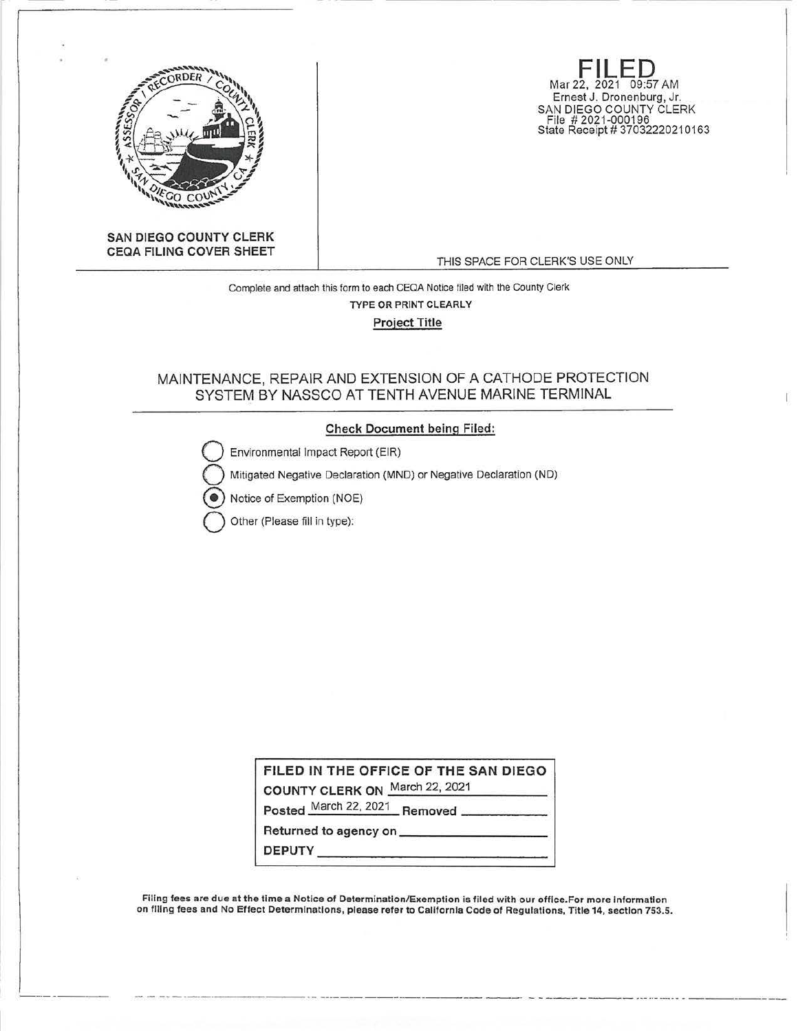

**FILED**  Mar 22, 2021 09:57 AM Ernest J. Dronenburg, Jr. SAN DIEGO COUNTY CLERK File # 2021 -000196 State Receipt# 37032220210163

**SAN DIEGO COUNTY CLERK CEQA FILING COVER SHEET** 

THIS SPACE FOR CLERK'S USE ONLY

Complete and attach this form to each CEOA Notice filed with the County Clerk TYPE OR PRINT CLEARLY Project Title

# MAINTENANCE, REPAIR AND EXTENSION OF A CATHODE PROTECTION SYSTEM BY NASSCO AT TENTH AVENUE MARINE TERMINAL

## **Check Document being Filed:**

Environmental Impact Report (EIR)

Mitigated Negative Declaration (MND) or Negative Declaration (ND)

Notice of Exemption (NOE)

**Q** Other (Please fill in type):

**FILED IN THE OFFICE OF THE SAN DIEGO** 

**COUNTY CLERK ON** March 22, 2021

Posted March 22, 2021 **Removed** 

**Returned to agency on \_\_\_\_\_\_\_\_\_ \_ DEPUTY \_\_\_\_\_\_\_\_\_\_\_\_\_ \_** 

--- ------·----- -

Filing fees are due at the time a Notice of Determination/Exemption is filed with our office.For more information on filing fees and No Effect Determinations, please refer to California Code of Regulations, Title 14, section 753.5.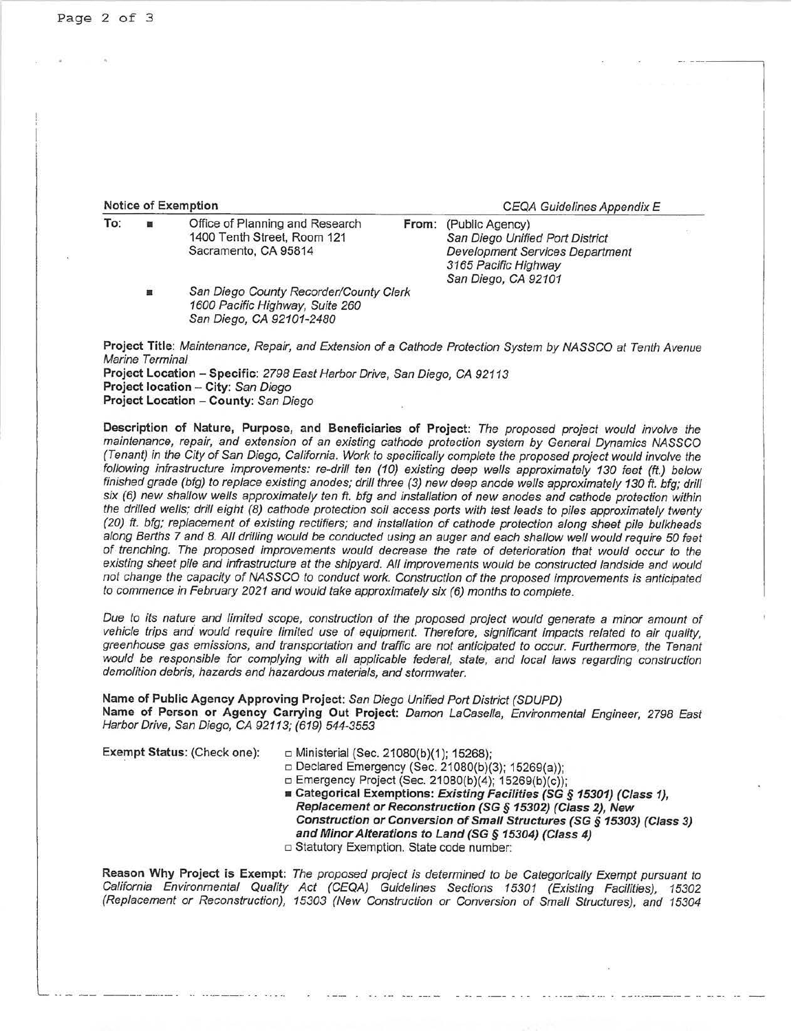| <b>Notice of Exemption</b> |  |  |
|----------------------------|--|--|
|                            |  |  |

**CEQA Guidelines Appendix E** 

| To: |   | Office of Planning and Research        | From: (Public Agency)           |  |
|-----|---|----------------------------------------|---------------------------------|--|
|     |   | 1400 Tenth Street, Room 121            | San Diego Unified Port District |  |
|     |   | Sacramento, CA 95814                   | Development Services Department |  |
|     |   |                                        | 3165 Pacific Highway            |  |
|     |   |                                        | San Diego, CA 92101             |  |
|     | 單 | San Diego County Recorder/County Clerk |                                 |  |
|     |   | 1600 Pacific Highway, Suite 260        |                                 |  |
|     |   | San Diego, CA 92101-2480               |                                 |  |
|     |   |                                        |                                 |  |

**Project Title:** Maintenance, Repair, and Extension of a Cathode Protection System by NASSCO at Tenth Avenue Marine Terminal **Project Location - Specific:** 2798 East Harbor Drive, San Diego, CA 92113 **Project location - City:** San Diego **Project Location - County:** San Diego

**Description of Nature, Purpose, and Beneficiaries of Project:** The proposed project would involve the maintenance, repair, and extension of an existing cathode protection system by General Dynamics NASSCO (Tenant) in the City of San Diego, California. Work to specifically complete the proposed project would involve the following infrastructure improvements: re-drill ten (10) existing deep wells approximately 130 feet (ft.) below finished grade (bfg) to replace existing anodes; drill three (3) new deep anode wells approximately 130 ft. bfg; drill six (6) new shalfow wells approximately ten ft. bfg and installation of new anodes and cathode protection within the drilled wells; drill eight (8) cathode protection soil access ports with test leads to piles approximately twenty (20) ft. bfg; replacement of existing rectifiers; and installation of cathode protection along sheet pile bulkheads along Berths 7 and 8. All drilling would be conducted using an auger and each shallow well would require 50 feet of trenching. The proposed improvements would decrease the rate of deterioration that would occur to the existing sheet pile and infrastructure at the shipyard. All improvements would be constructed landside and would not change the capacity of NASSCO to conduct work. Construction of the proposed improvements is anticipated to commence in February 2021 and would take approximately six (6) months to complete.

Due to its nature and limited scope, construction of the proposed project would generate a minor amount of vehicle trips and would require limited use of equipment. Therefore, significant impacts related to air quality, greenhouse gas emissions, and transportation and traffic are not anticipated to occur. Furthermore, the Tenant would be responsible for complying with all applicable federal, state, and local laws regarding construction demolition debris, hazards and hazardous materials, and stormwater.

**Name of Public Agency Approving Project:** San Diego Unified Port District (SDUPD) Name of Person or Agency Carrying Out Project: Damon LaCasella, Environmental Engineer, 2798 East Harbor Drive, San Diego, CA 92113; (619) 544-3553

**Exempt Status: (Check one):** □ Ministerial (Sec. 21080(b)(1); 15268);

□ Declared Emergency (Sec. 21080(b)(3); 15269(a));

- □ Emergency Project (Sec. 21080(b)(4); 15269(b)(c));
- **Categorical Exemptions: Existing Facilities (SG** *§* **15301) (Class 1), Replacement or Reconstruction (SG** *§* **15302) (Class 2), New Construction or Conversion of Small Structures (SG** *§* **15303) (Class 3) and Minor Alterations to Land (SG** *§* **15304) (Class 4)**  o Statutory Exemption. State code number:

**Reason Why Project is Exempt:** The proposed project is determined to be Categorically Exempt pursuant to California Environmental Quality Act (CEQA) Guidelines Sections 15301 (Existing Facilities), 15302 (Replacement or Reconstruction), 15303 (New Construction or Conversion of Small Structures), and 15304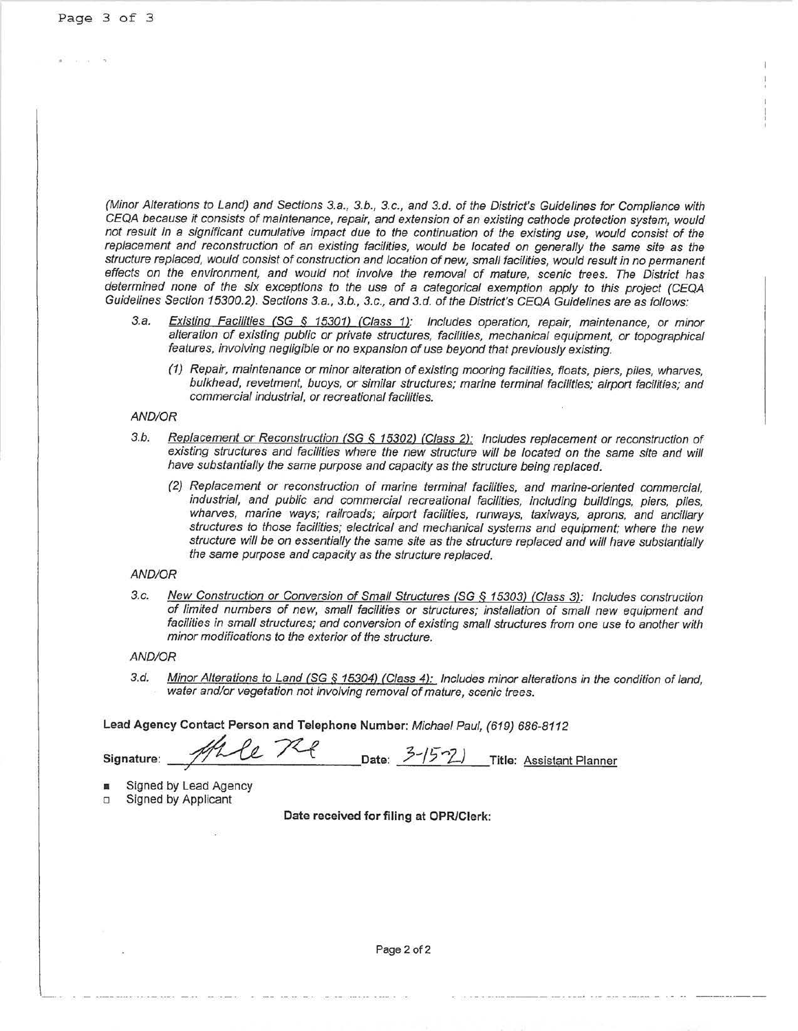(Minor Alterations to Land) and Sections 3.a., 3.b., 3.c., and 3.d. of the District's Guidelines for Compliance with CEQA because it consists of maintenance, repair, and extension of an existing cathode protection system, would not result in a significant cumulative impact due to the continuation of the existing use, would consist of the replacement and reconstruction of an existing facilities, would be located on generally the same site as the structure replaced, would consist of construction and location of new, small facilities, would result in no permanent effects on the environment, and would not involve the removal of mature, scenic trees. The District has determined none of the six exceptions to the use of a categorical exemption apply to this project (CEQA Guidelines Section 15300.2). Sections 3.a., 3.b., 3.c., and 3.d. of the District's CEQA Guidelines are as follows:

- 3.a. Existing Facilities (SG § 15301) (Class 1): Includes operation, repair, maintenance, or minor alteration of existing public or private structures, facilities, mechanical equipment, or topographical features, involving negligible or no expansion of use beyond that previously existing.
	- (1) Repair, maintenance or minor alteration of existing mooring facilities, floats, piers, piles, wharves, bulkhead, revetment, buoys, or similar structures; marine terminal facilities; airport facilities; and commercial industrial, or recreational facilities.

#### AND/OR

- 3.b. Replacement or Reconstruction (SG *§* 15302) (Class 2): Includes replacement or reconstruction of existing structures and facilities where the new structure will be located on the same site and will have substantially the same purpose and capacity as the structure being replaced.
	- (2) Replacement or reconstruction of marine terminal facilities, and marine-oriented commercial, industrial, and public and commercial recreational facilities, including buildings, piers, piles, wharves, marine ways; railroads; airport facilities, runways, taxiways, aprons, and ancillary structures to those facilities; electrical and mechanical systems and equipment; where the new structure will be on essentially the same site as the structure replaced and will have substantially the same purpose and capacity as the structure replaced.

### AND/OR

3.c. New Construction or Conversion of Small Structures (SG § 15303) (Class 3): Includes construction of limited numbers of new, small facilities or structures; installation of small new equipment and facilities in small structures; and conversion of existing small structures from one use to another with minor modifications to the exterior of the structure.

#### AND/OR

3.d. Minor Alterations to Land (SG § 15304) (Class **4):** Includes minor alterations in the condition of land, water and/or vegetation not involving removal of mature, scenic trees.

**Lead Agency Contact Person and Telephone Number:** Michael Paul, (619) 686-8112

**Signature:** ~ **-:x-e Date:** ?--/§'1-) --:7,'-----'------------ Date:  $3-15-2$  Title: Assistant Planner

Signed by Lead Agency

□ Signed by Applicant

**Date received for filing at OPRJClerk:**